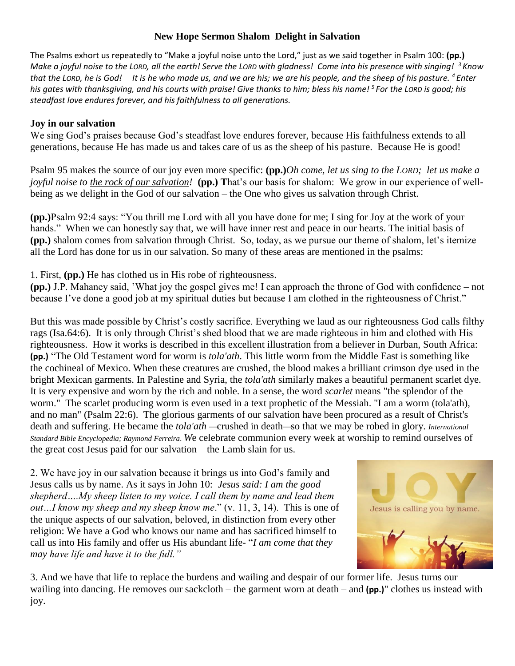## **New Hope Sermon Shalom Delight in Salvation**

The Psalms exhort us repeatedly to "Make a joyful noise unto the Lord," just as we said together in Psalm 100: **(pp.)** *Make a joyful noise to the LORD, all the earth! Serve the LORD with gladness! Come into his presence with singing! <sup>3</sup> Know that the LORD, he is God! It is he who made us, and we are his; we are his people, and the sheep of his pasture. <sup>4</sup> Enter his gates with thanksgiving, and his courts with praise! Give thanks to him; bless his name! <sup>5</sup> For the LORD is good; his steadfast love endures forever, and his faithfulness to all generations.* 

## **Joy in our salvation**

We sing God's praises because God's steadfast love endures forever, because His faithfulness extends to all generations, because He has made us and takes care of us as the sheep of his pasture. Because He is good!

Psalm 95 makes the source of our joy even more specific: **(pp.)***Oh come, let us sing to the LORD; let us make a joyful noise to the rock of our salvation!* (pp.) That's our basis for shalom: We grow in our experience of wellbeing as we delight in the God of our salvation – the One who gives us salvation through Christ.

**(pp.)**Psalm 92:4 says: "You thrill me Lord with all you have done for me; I sing for Joy at the work of your hands." When we can honestly say that, we will have inner rest and peace in our hearts. The initial basis of **(pp.)** shalom comes from salvation through Christ. So, today, as we pursue our theme of shalom, let's itemize all the Lord has done for us in our salvation. So many of these areas are mentioned in the psalms:

1. First, **(pp.)** He has clothed us in His robe of righteousness.

**(pp.)** J.P. Mahaney said, 'What joy the gospel gives me! I can approach the throne of God with confidence – not because I've done a good job at my spiritual duties but because I am clothed in the righteousness of Christ."

But this was made possible by Christ's costly sacrifice. Everything we laud as our righteousness God calls filthy rags (Isa.64:6). It is only through Christ's shed blood that we are made righteous in him and clothed with His righteousness. How it works is described in this excellent illustration from a believer in Durban, South Africa: **(pp.)** "The Old Testament word for worm is *tola'ath*. This little worm from the Middle East is something like the cochineal of Mexico. When these creatures are crushed, the blood makes a brilliant crimson dye used in the bright Mexican garments. In Palestine and Syria, the *tola'ath* similarly makes a beautiful permanent scarlet dye. It is very expensive and worn by the rich and noble. In a sense, the word *scarlet* means "the splendor of the worm." The scarlet producing worm is even used in a text prophetic of the Messiah. "I am a worm (tola'ath), and no man" (Psalm 22:6). The glorious garments of our salvation have been procured as a result of Christ's death and suffering. He became the *tola'ath* —crushed in death—so that we may be robed in glory. *International Standard Bible Encyclopedia; Raymond Ferreira. W*e celebrate communion every week at worship to remind ourselves of the great cost Jesus paid for our salvation – the Lamb slain for us.

2. We have joy in our salvation because it brings us into God's family and Jesus calls us by name. As it says in John 10: *Jesus said: I am the good shepherd….My sheep listen to my voice. I call them by name and lead them out…I know my sheep and my sheep know me*." (v. 11, 3, 14). This is one of the unique aspects of our salvation, beloved, in distinction from every other religion: We have a God who knows our name and has sacrificed himself to call us into His family and offer us His abundant life- "*I am come that they may have life and have it to the full."*



3. And we have that life to replace the burdens and wailing and despair of our former life. Jesus turns our wailing into dancing. He removes our sackcloth – the garment worn at death – and **(pp.)**" clothes us instead with joy.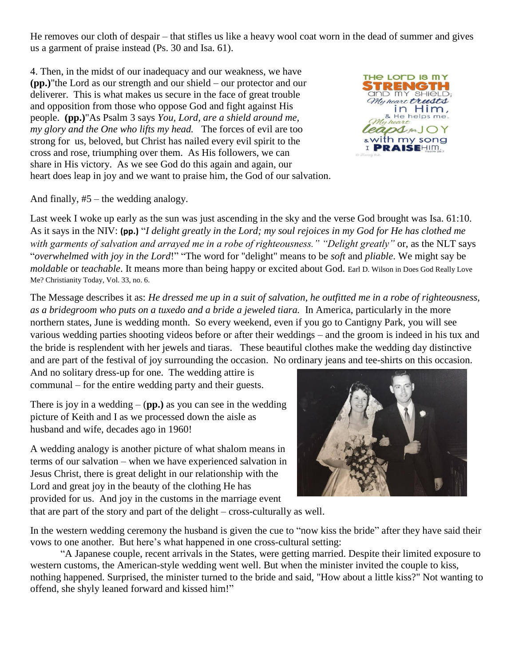He removes our cloth of despair – that stifles us like a heavy wool coat worn in the dead of summer and gives us a garment of praise instead (Ps. 30 and Isa. 61).

4. Then, in the midst of our inadequacy and our weakness, we have **(pp.)**"the Lord as our strength and our shield – our protector and our deliverer. This is what makes us secure in the face of great trouble and opposition from those who oppose God and fight against His people. **(pp.)**"As Psalm 3 says *You, Lord, are a shield around me, my glory and the One who lifts my head.* The forces of evil are too strong for us, beloved, but Christ has nailed every evil spirit to the cross and rose, triumphing over them. As His followers, we can share in His victory. As we see God do this again and again, our heart does leap in joy and we want to praise him, the God of our salvation.



And finally, #5 – the wedding analogy.

Last week I woke up early as the sun was just ascending in the sky and the verse God brought was Isa. 61:10. As it says in the NIV: **(pp.)** "*I delight greatly in the Lord; my soul rejoices in my God for He has clothed me with garments of salvation and arrayed me in a robe of righteousness." "Delight greatly"* or, as the NLT says "*overwhelmed with joy in the Lord*!" "The word for "delight" means to be *soft* and *pliable*. We might say be *moldable* or *teachable*. It means more than being happy or excited about God. Earl D. Wilson in Does God Really Love Me? Christianity Today, Vol. 33, no. 6.

The Message describes it as: *He dressed me up in a suit of salvation, he outfitted me in a robe of righteousness, as a bridegroom who puts on a tuxedo and a bride a jeweled tiara.* In America, particularly in the more northern states, June is wedding month. So every weekend, even if you go to Cantigny Park, you will see various wedding parties shooting videos before or after their weddings – and the groom is indeed in his tux and the bride is resplendent with her jewels and tiaras. These beautiful clothes make the wedding day distinctive and are part of the festival of joy surrounding the occasion. No ordinary jeans and tee-shirts on this occasion.

And no solitary dress-up for one. The wedding attire is communal – for the entire wedding party and their guests.

There is joy in a wedding  $-$  (**pp.**) as you can see in the wedding picture of Keith and I as we processed down the aisle as husband and wife, decades ago in 1960!

A wedding analogy is another picture of what shalom means in terms of our salvation – when we have experienced salvation in Jesus Christ, there is great delight in our relationship with the Lord and great joy in the beauty of the clothing He has provided for us. And joy in the customs in the marriage event



that are part of the story and part of the delight – cross-culturally as well.

In the western wedding ceremony the husband is given the cue to "now kiss the bride" after they have said their vows to one another. But here's what happened in one cross-cultural setting:

"A Japanese couple, recent arrivals in the States, were getting married. Despite their limited exposure to western customs, the American-style wedding went well. But when the minister invited the couple to kiss, nothing happened. Surprised, the minister turned to the bride and said, "How about a little kiss?" Not wanting to offend, she shyly leaned forward and kissed him!"